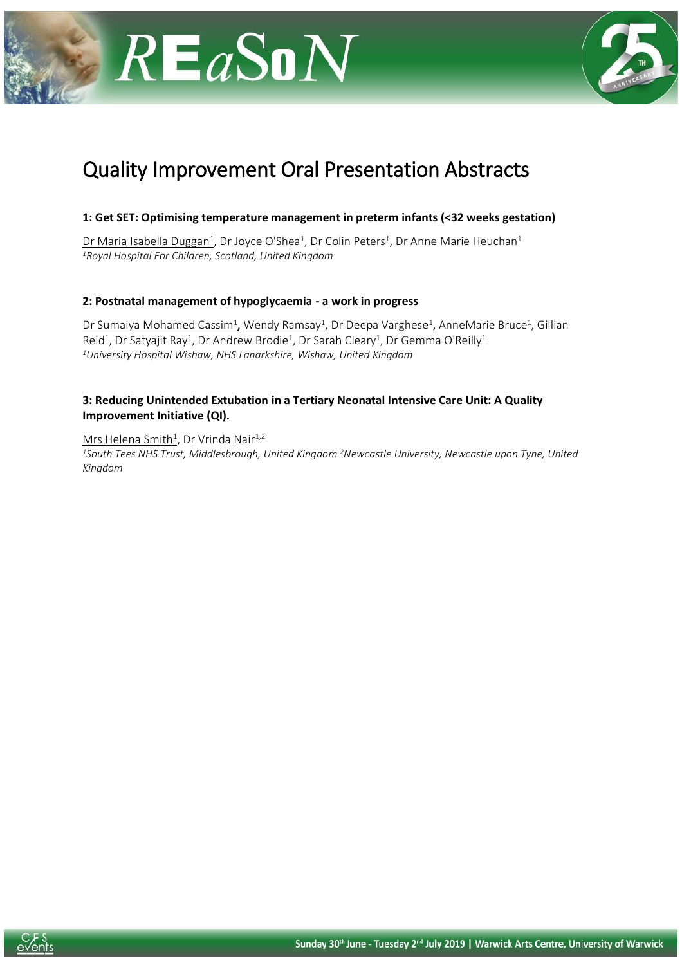



# Quality Improvement Oral Presentation Abstracts

#### **1: Get SET: Optimising temperature management in preterm infants (<32 weeks gestation)**

Dr Maria Isabella Duggan<sup>1</sup>, Dr Joyce O'Shea<sup>1</sup>, Dr Colin Peters<sup>1</sup>, Dr Anne Marie Heuchan<sup>1</sup> *<sup>1</sup>Royal Hospital For Children, Scotland, United Kingdom*

#### **2: Postnatal management of hypoglycaemia - a work in progress**

Dr Sumaiya Mohamed Cassim<sup>1</sup>, Wendy Ramsay<sup>1</sup>, Dr Deepa Varghese<sup>1</sup>, AnneMarie Bruce<sup>1</sup>, Gillian Reid<sup>1</sup>, Dr Satyajit Ray<sup>1</sup>, Dr Andrew Brodie<sup>1</sup>, Dr Sarah Cleary<sup>1</sup>, Dr Gemma O'Reilly<sup>1</sup> *<sup>1</sup>University Hospital Wishaw, NHS Lanarkshire, Wishaw, United Kingdom*

#### **3: Reducing Unintended Extubation in a Tertiary Neonatal Intensive Care Unit: A Quality Improvement Initiative (QI).**

Mrs Helena Smith<sup>1</sup>, Dr Vrinda Nair<sup>1,2</sup> *<sup>1</sup>South Tees NHS Trust, Middlesbrough, United Kingdom <sup>2</sup>Newcastle University, Newcastle upon Tyne, United Kingdom*

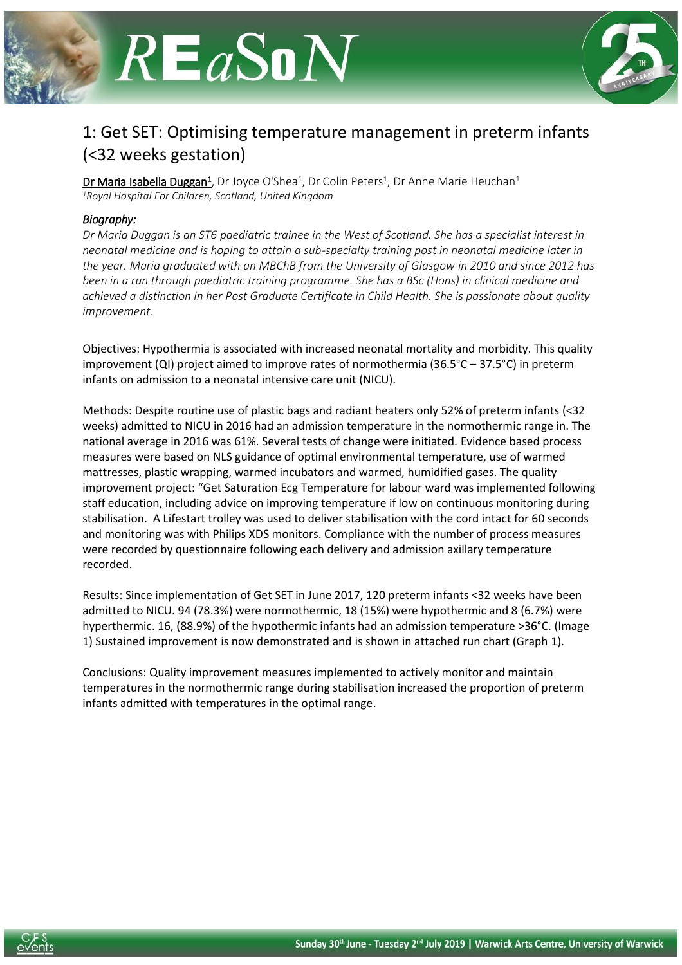



### 1: Get SET: Optimising temperature management in preterm infants (<32 weeks gestation)

Dr Maria Isabella Duggan<sup>1</sup>, Dr Joyce O'Shea<sup>1</sup>, Dr Colin Peters<sup>1</sup>, Dr Anne Marie Heuchan<sup>1</sup> *<sup>1</sup>Royal Hospital For Children, Scotland, United Kingdom*

#### *Biography:*

*Dr Maria Duggan is an ST6 paediatric trainee in the West of Scotland. She has a specialist interest in neonatal medicine and is hoping to attain a sub-specialty training post in neonatal medicine later in the year. Maria graduated with an MBChB from the University of Glasgow in 2010 and since 2012 has been in a run through paediatric training programme. She has a BSc (Hons) in clinical medicine and achieved a distinction in her Post Graduate Certificate in Child Health. She is passionate about quality improvement.*

Objectives: Hypothermia is associated with increased neonatal mortality and morbidity. This quality improvement (QI) project aimed to improve rates of normothermia (36.5°C – 37.5°C) in preterm infants on admission to a neonatal intensive care unit (NICU).

Methods: Despite routine use of plastic bags and radiant heaters only 52% of preterm infants (<32 weeks) admitted to NICU in 2016 had an admission temperature in the normothermic range in. The national average in 2016 was 61%. Several tests of change were initiated. Evidence based process measures were based on NLS guidance of optimal environmental temperature, use of warmed mattresses, plastic wrapping, warmed incubators and warmed, humidified gases. The quality improvement project: "Get Saturation Ecg Temperature for labour ward was implemented following staff education, including advice on improving temperature if low on continuous monitoring during stabilisation. A Lifestart trolley was used to deliver stabilisation with the cord intact for 60 seconds and monitoring was with Philips XDS monitors. Compliance with the number of process measures were recorded by questionnaire following each delivery and admission axillary temperature recorded.

Results: Since implementation of Get SET in June 2017, 120 preterm infants <32 weeks have been admitted to NICU. 94 (78.3%) were normothermic, 18 (15%) were hypothermic and 8 (6.7%) were hyperthermic. 16, (88.9%) of the hypothermic infants had an admission temperature >36°C. (Image 1) Sustained improvement is now demonstrated and is shown in attached run chart (Graph 1).

Conclusions: Quality improvement measures implemented to actively monitor and maintain temperatures in the normothermic range during stabilisation increased the proportion of preterm infants admitted with temperatures in the optimal range.

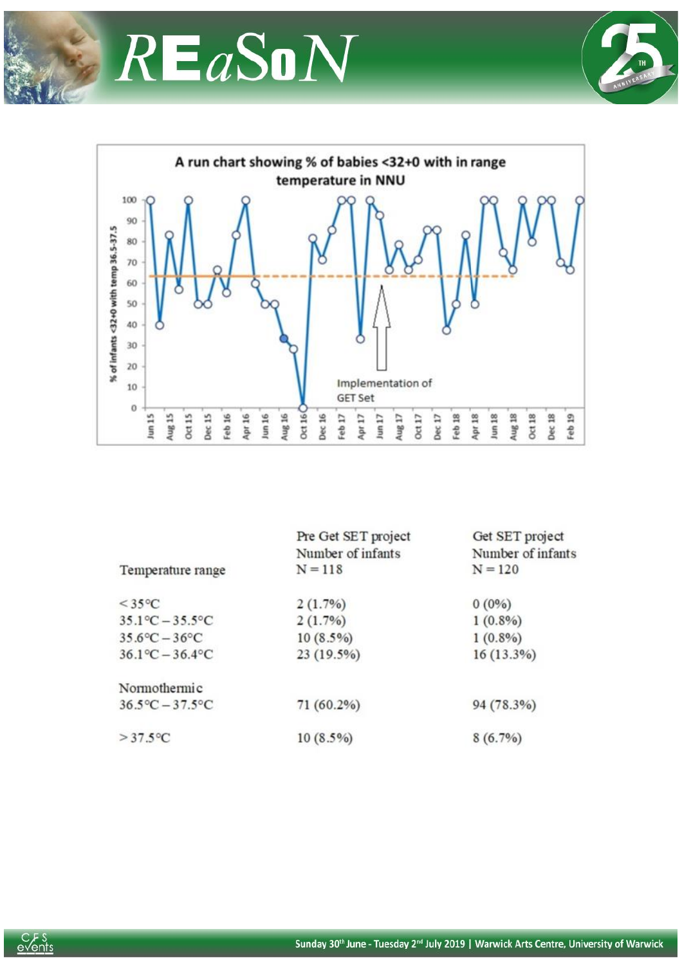





|                                 | Pre Get SET project | Get SET project   |
|---------------------------------|---------------------|-------------------|
|                                 | Number of infants   | Number of infants |
| Temperature range               | $N = 118$           | $N = 120$         |
| $<$ 35 $\degree$ C              | 2(1.7%)             | $0(0\%)$          |
| $35.1^{\circ}C - 35.5^{\circ}C$ | 2(1.7%)             | $1(0.8\%)$        |
| $35.6^{\circ}C - 36^{\circ}C$   | $10(8.5\%)$         | $1(0.8\%)$        |
| $36.1^{\circ}C - 36.4^{\circ}C$ | 23(19.5%)           | 16(13.3%)         |
| Normothermic                    |                     |                   |
| $36.5^{\circ}C - 37.5^{\circ}C$ | 71 (60.2%)          | 94 (78.3%)        |
| $>37.5$ °C                      | $10(8.5\%)$         | $8(6.7\%)$        |

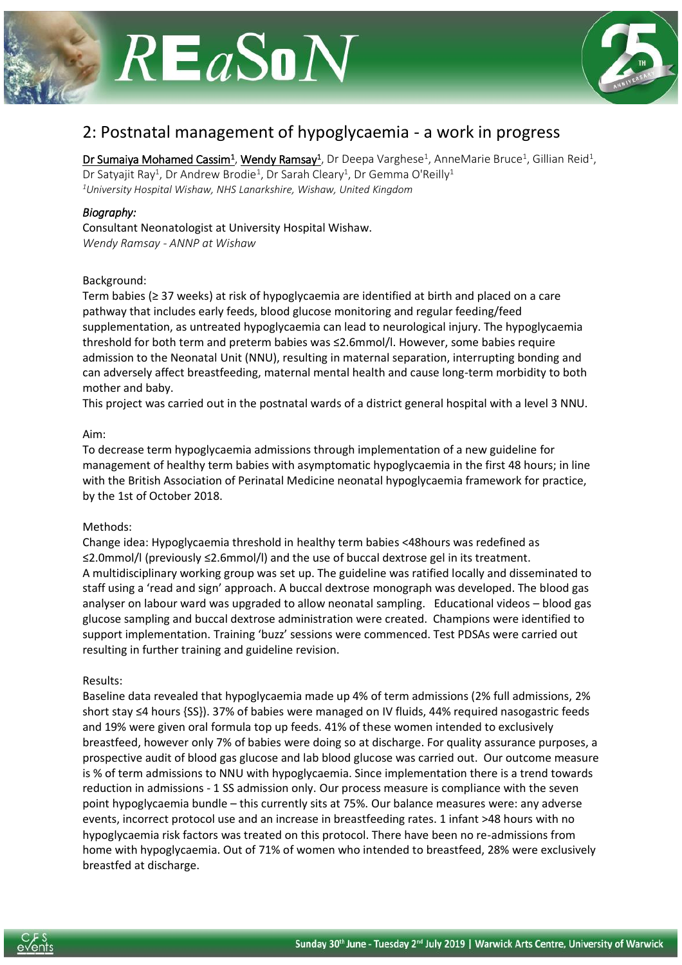



### 2: Postnatal management of hypoglycaemia - a work in progress

Dr Sumaiya Mohamed Cassim<sup>1</sup>, Wendy Ramsay<sup>1</sup>, Dr Deepa Varghese<sup>1</sup>, AnneMarie Bruce<sup>1</sup>, Gillian Reid<sup>1</sup>, Dr Satyajit Ray<sup>1</sup>, Dr Andrew Brodie<sup>1</sup>, Dr Sarah Cleary<sup>1</sup>, Dr Gemma O'Reilly<sup>1</sup> *<sup>1</sup>University Hospital Wishaw, NHS Lanarkshire, Wishaw, United Kingdom*

#### *Biography:*

Consultant Neonatologist at University Hospital Wishaw. *Wendy Ramsay - ANNP at Wishaw*

#### Background:

Term babies (≥ 37 weeks) at risk of hypoglycaemia are identified at birth and placed on a care pathway that includes early feeds, blood glucose monitoring and regular feeding/feed supplementation, as untreated hypoglycaemia can lead to neurological injury. The hypoglycaemia threshold for both term and preterm babies was ≤2.6mmol/l. However, some babies require admission to the Neonatal Unit (NNU), resulting in maternal separation, interrupting bonding and can adversely affect breastfeeding, maternal mental health and cause long-term morbidity to both mother and baby.

This project was carried out in the postnatal wards of a district general hospital with a level 3 NNU.

#### Aim:

To decrease term hypoglycaemia admissions through implementation of a new guideline for management of healthy term babies with asymptomatic hypoglycaemia in the first 48 hours; in line with the British Association of Perinatal Medicine neonatal hypoglycaemia framework for practice, by the 1st of October 2018.

#### Methods:

Change idea: Hypoglycaemia threshold in healthy term babies <48hours was redefined as ≤2.0mmol/l (previously ≤2.6mmol/l) and the use of buccal dextrose gel in its treatment. A multidisciplinary working group was set up. The guideline was ratified locally and disseminated to staff using a 'read and sign' approach. A buccal dextrose monograph was developed. The blood gas analyser on labour ward was upgraded to allow neonatal sampling. Educational videos – blood gas glucose sampling and buccal dextrose administration were created. Champions were identified to support implementation. Training 'buzz' sessions were commenced. Test PDSAs were carried out resulting in further training and guideline revision.

#### Results:

Baseline data revealed that hypoglycaemia made up 4% of term admissions (2% full admissions, 2% short stay ≤4 hours {SS}). 37% of babies were managed on IV fluids, 44% required nasogastric feeds and 19% were given oral formula top up feeds. 41% of these women intended to exclusively breastfeed, however only 7% of babies were doing so at discharge. For quality assurance purposes, a prospective audit of blood gas glucose and lab blood glucose was carried out. Our outcome measure is % of term admissions to NNU with hypoglycaemia. Since implementation there is a trend towards reduction in admissions - 1 SS admission only. Our process measure is compliance with the seven point hypoglycaemia bundle – this currently sits at 75%. Our balance measures were: any adverse events, incorrect protocol use and an increase in breastfeeding rates. 1 infant >48 hours with no hypoglycaemia risk factors was treated on this protocol. There have been no re-admissions from home with hypoglycaemia. Out of 71% of women who intended to breastfeed, 28% were exclusively breastfed at discharge.

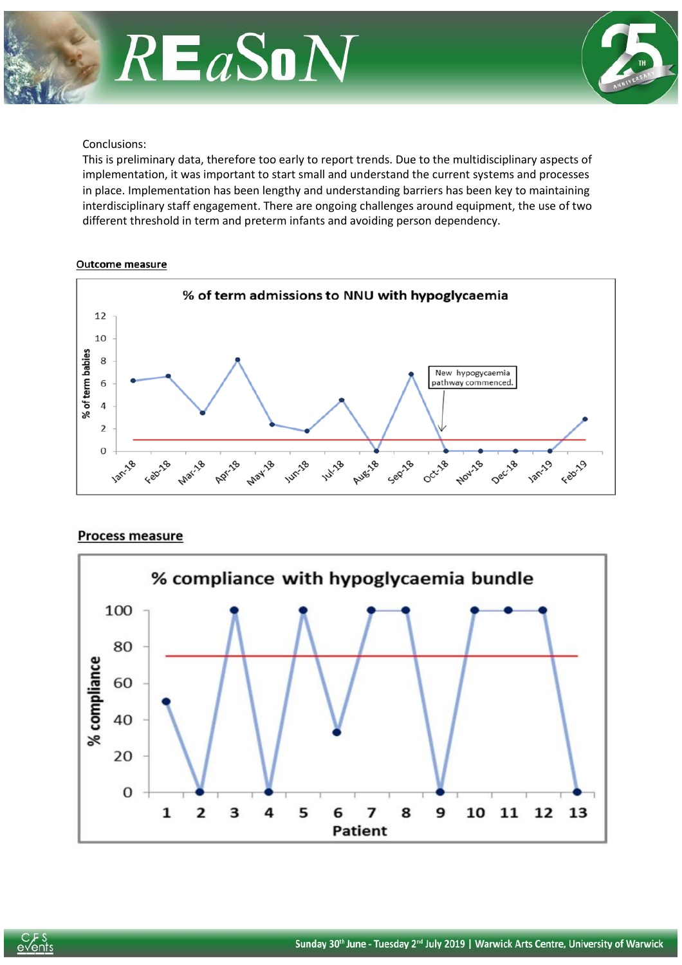



#### Conclusions:

This is preliminary data, therefore too early to report trends. Due to the multidisciplinary aspects of implementation, it was important to start small and understand the current systems and processes in place. Implementation has been lengthy and understanding barriers has been key to maintaining interdisciplinary staff engagement. There are ongoing challenges around equipment, the use of two different threshold in term and preterm infants and avoiding person dependency.

#### Outcome measure



#### **Process measure**



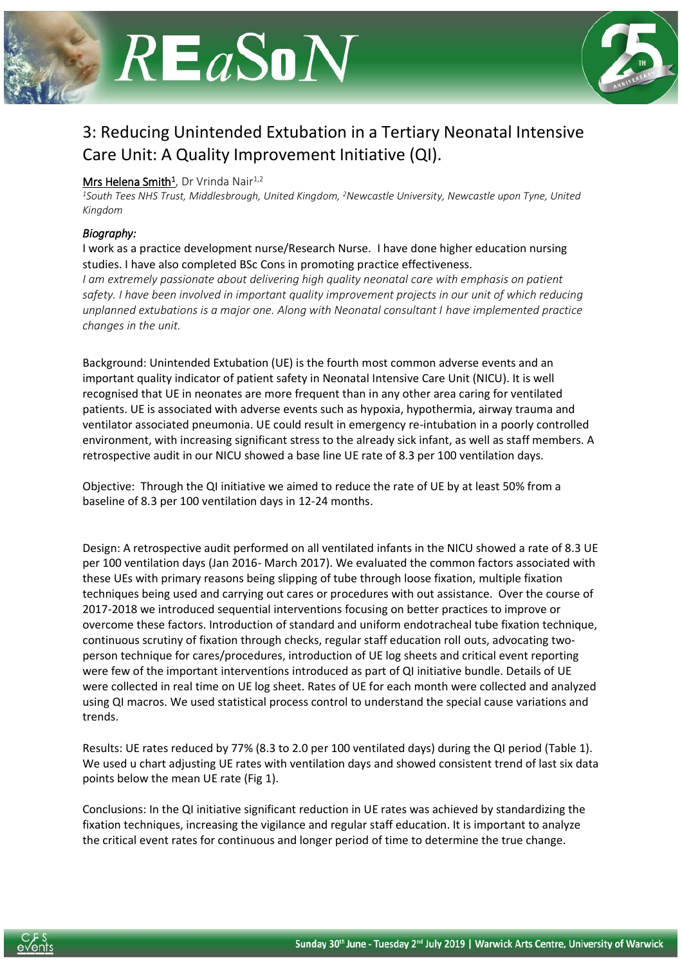



## 3: Reducing Unintended Extubation in a Tertiary Neonatal Intensive Care Unit: A Quality Improvement Initiative (QI).

#### Mrs Helena Smith<sup>1</sup>, Dr Vrinda Nair<sup>1,2</sup>

*<sup>1</sup>South Tees NHS Trust, Middlesbrough, United Kingdom, <sup>2</sup>Newcastle University, Newcastle upon Tyne, United Kingdom*

#### *Biography:*

I work as a practice development nurse/Research Nurse. I have done higher education nursing studies. I have also completed BSc Cons in promoting practice effectiveness.

*I am extremely passionate about delivering high quality neonatal care with emphasis on patient safety. I have been involved in important quality improvement projects in our unit of which reducing unplanned extubations is a major one. Along with Neonatal consultant I have implemented practice changes in the unit.*

Background: Unintended Extubation (UE) is the fourth most common adverse events and an important quality indicator of patient safety in Neonatal Intensive Care Unit (NICU). It is well recognised that UE in neonates are more frequent than in any other area caring for ventilated patients. UE is associated with adverse events such as hypoxia, hypothermia, airway trauma and ventilator associated pneumonia. UE could result in emergency re-intubation in a poorly controlled environment, with increasing significant stress to the already sick infant, as well as staff members. A retrospective audit in our NICU showed a base line UE rate of 8.3 per 100 ventilation days.

Objective: Through the QI initiative we aimed to reduce the rate of UE by at least 50% from a baseline of 8.3 per 100 ventilation days in 12-24 months.

Design: A retrospective audit performed on all ventilated infants in the NICU showed a rate of 8.3 UE per 100 ventilation days (Jan 2016- March 2017). We evaluated the common factors associated with these UEs with primary reasons being slipping of tube through loose fixation, multiple fixation techniques being used and carrying out cares or procedures with out assistance. Over the course of 2017-2018 we introduced sequential interventions focusing on better practices to improve or overcome these factors. Introduction of standard and uniform endotracheal tube fixation technique, continuous scrutiny of fixation through checks, regular staff education roll outs, advocating twoperson technique for cares/procedures, introduction of UE log sheets and critical event reporting were few of the important interventions introduced as part of QI initiative bundle. Details of UE were collected in real time on UE log sheet. Rates of UE for each month were collected and analyzed using QI macros. We used statistical process control to understand the special cause variations and trends.

Results: UE rates reduced by 77% (8.3 to 2.0 per 100 ventilated days) during the QI period (Table 1). We used u chart adjusting UE rates with ventilation days and showed consistent trend of last six data points below the mean UE rate (Fig 1).

Conclusions: In the QI initiative significant reduction in UE rates was achieved by standardizing the fixation techniques, increasing the vigilance and regular staff education. It is important to analyze the critical event rates for continuous and longer period of time to determine the true change.